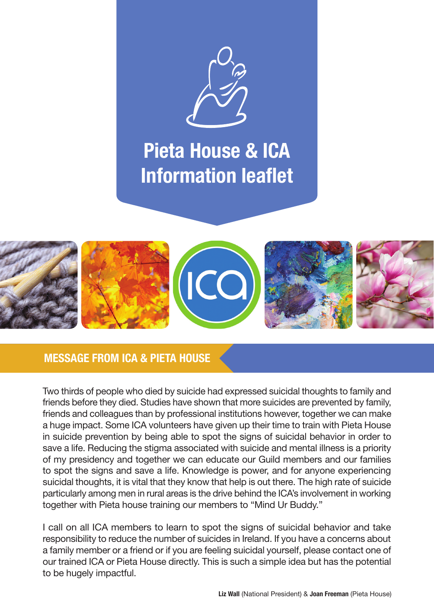

### Pieta House & ICA Information leaflet



#### MESSAGE FROM ICA & PIETA HOUSE

Two thirds of people who died by suicide had expressed suicidal thoughts to family and friends before they died. Studies have shown that more suicides are prevented by family, friends and colleagues than by professional institutions however, together we can make a huge impact. Some ICA volunteers have given up their time to train with Pieta House in suicide prevention by being able to spot the signs of suicidal behavior in order to save a life. Reducing the stigma associated with suicide and mental illness is a priority of my presidency and together we can educate our Guild members and our families to spot the signs and save a life. Knowledge is power, and for anyone experiencing suicidal thoughts, it is vital that they know that help is out there. The high rate of suicide particularly among men in rural areas is the drive behind the ICA's involvement in working together with Pieta house training our members to "Mind Ur Buddy."

I call on all ICA members to learn to spot the signs of suicidal behavior and take responsibility to reduce the number of suicides in Ireland. If you have a concerns about a family member or a friend or if you are feeling suicidal yourself, please contact one of our trained ICA or Pieta House directly. This is such a simple idea but has the potential to be hugely impactful.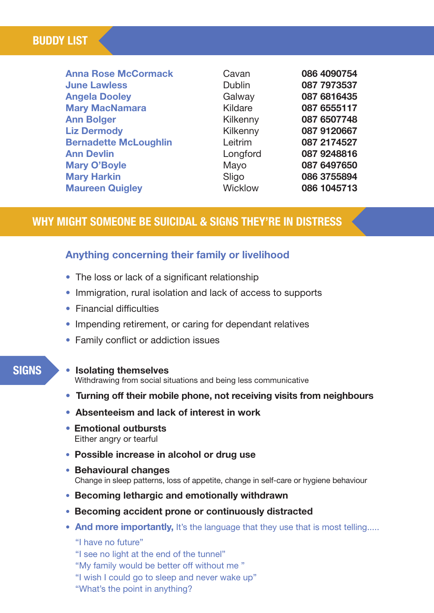#### BUDDY LIST

| <b>Anna Rose McCormack</b>   | Cavan         |
|------------------------------|---------------|
| <b>June Lawless</b>          | <b>Dublin</b> |
| <b>Angela Dooley</b>         | Galway        |
| <b>Mary MacNamara</b>        | Kildare       |
| <b>Ann Bolger</b>            | Kilkenny      |
| <b>Liz Dermody</b>           | Kilkenny      |
| <b>Bernadette McLoughlin</b> | Leitrim       |
| <b>Ann Devlin</b>            | Longford      |
| <b>Mary O'Boyle</b>          | Mayo          |
| <b>Mary Harkin</b>           | Sligo         |
| <b>Maureen Quigley</b>       | Wicklow       |

#### WHY MIGHT SOMEONE BE SUICIDAL & SIGNS THEY'RE IN DISTRESS

#### Anything concerning their family or livelihood

- The loss or lack of a significant relationship
- Immigration, rural isolation and lack of access to supports
- Financial difficulties
- Impending retirement, or caring for dependant relatives
- Family conflict or addiction issues

#### **SIGNS**

#### • Isolating themselves

Withdrawing from social situations and being less communicative

- Turning off their mobile phone, not receiving visits from neighbours
- Absenteeism and lack of interest in work
- Emotional outbursts Either angry or tearful
- Possible increase in alcohol or drug use
- Behavioural changes Change in sleep patterns, loss of appetite, change in self-care or hygiene behaviour
- Becoming lethargic and emotionally withdrawn
- Becoming accident prone or continuously distracted
- And more importantly, It's the language that they use that is most telling.....

#### "I have no future"

"I see no light at the end of the tunnel"

"My family would be better off without me "

- "I wish I could go to sleep and never wake up"
- "What's the point in anything?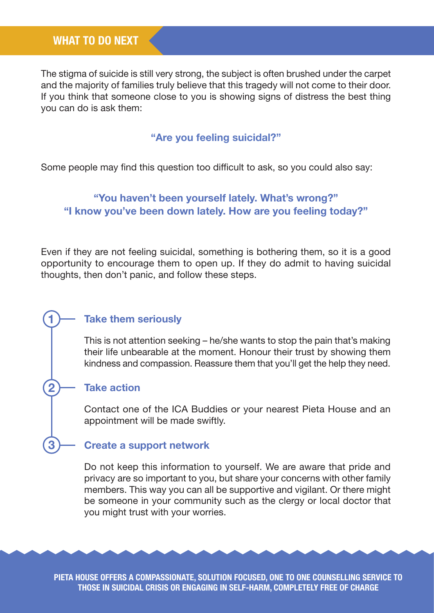The stigma of suicide is still very strong, the subject is often brushed under the carpet and the majority of families truly believe that this tragedy will not come to their door. If you think that someone close to you is showing signs of distress the best thing you can do is ask them:

#### "Are you feeling suicidal?"

Some people may find this question too difficult to ask, so you could also say:

#### "You haven't been yourself lately. What's wrong?" "I know you've been down lately. How are you feeling today?"

Even if they are not feeling suicidal, something is bothering them, so it is a good opportunity to encourage them to open up. If they do admit to having suicidal thoughts, then don't panic, and follow these steps.

#### 1) Take them seriously

This is not attention seeking – he/she wants to stop the pain that's making their life unbearable at the moment. Honour their trust by showing them kindness and compassion. Reassure them that you'll get the help they need.

#### Take action

**2**

**3**

Contact one of the ICA Buddies or your nearest Pieta House and an appointment will be made swiftly.

#### Create a support network

Do not keep this information to yourself. We are aware that pride and privacy are so important to you, but share your concerns with other family members. This way you can all be supportive and vigilant. Or there might be someone in your community such as the clergy or local doctor that you might trust with your worries.

Pieta House offers a compassionate, solution focused, one to one counselling service to those in suicidal crisis or engaging in self-harm, completely free of charge